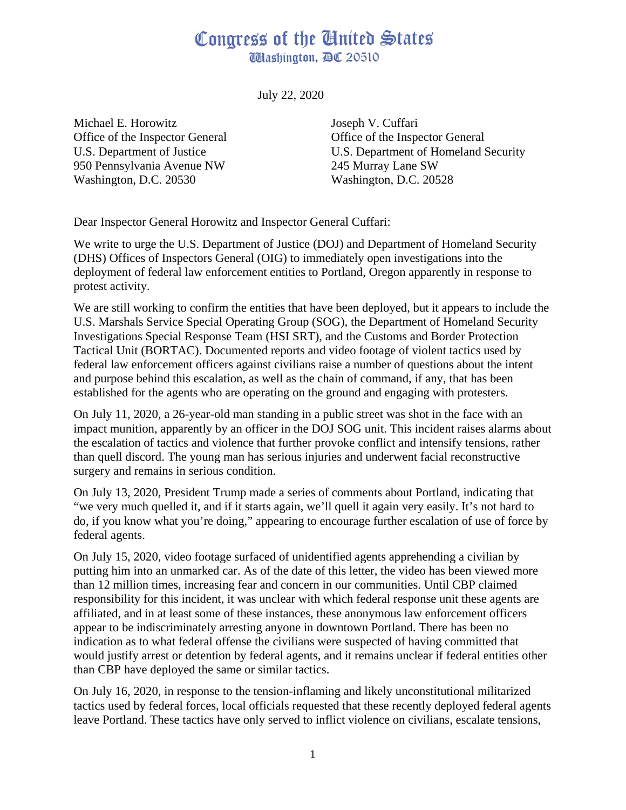## Congress of the Ginited States **Washington, DC 20510**

July 22, 2020

Michael E. Horowitz Office of the Inspector General U.S. Department of Justice 950 Pennsylvania Avenue NW Washington, D.C. 20530

Joseph V. Cuffari Office of the Inspector General U.S. Department of Homeland Security 245 Murray Lane SW Washington, D.C. 20528

Dear Inspector General Horowitz and Inspector General Cuffari:

We write to urge the U.S. Department of Justice (DOJ) and Department of Homeland Security (DHS) Offices of Inspectors General (OIG) to immediately open investigations into the deployment of federal law enforcement entities to Portland, Oregon apparently in response to protest activity.

We are still working to confirm the entities that have been deployed, but it appears to include the U.S. Marshals Service Special Operating Group (SOG), the Department of Homeland Security Investigations Special Response Team (HSI SRT), and the Customs and Border Protection Tactical Unit (BORTAC). Documented reports and video footage of violent tactics used by federal law enforcement officers against civilians raise a number of questions about the intent and purpose behind this escalation, as well as the chain of command, if any, that has been established for the agents who are operating on the ground and engaging with protesters.

On July 11, 2020, a 26-year-old man standing in a public street was shot in the face with an impact munition, apparently by an officer in the DOJ SOG unit. This incident raises alarms about the escalation of tactics and violence that further provoke conflict and intensify tensions, rather than quell discord. The young man has serious injuries and underwent facial reconstructive surgery and remains in serious condition.

On July 13, 2020, President Trump made a series of comments about Portland, indicating that "we very much quelled it, and if it starts again, we'll quell it again very easily. It's not hard to do, if you know what you're doing," appearing to encourage further escalation of use of force by federal agents.

On July 15, 2020, video footage surfaced of unidentified agents apprehending a civilian by putting him into an unmarked car. As of the date of this letter, the video has been viewed more than 12 million times, increasing fear and concern in our communities. Until CBP claimed responsibility for this incident, it was unclear with which federal response unit these agents are affiliated, and in at least some of these instances, these anonymous law enforcement officers appear to be indiscriminately arresting anyone in downtown Portland. There has been no indication as to what federal offense the civilians were suspected of having committed that would justify arrest or detention by federal agents, and it remains unclear if federal entities other than CBP have deployed the same or similar tactics.

On July 16, 2020, in response to the tension-inflaming and likely unconstitutional militarized tactics used by federal forces, local officials requested that these recently deployed federal agents leave Portland. These tactics have only served to inflict violence on civilians, escalate tensions,